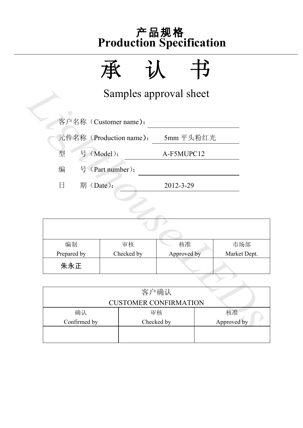

|                 | Samples approval sheet  |                              |              |  |
|-----------------|-------------------------|------------------------------|--------------|--|
|                 | 客户名称 (Customer name):   |                              |              |  |
|                 | 元件名称 (Production name): | 5mm 平头粉红光                    |              |  |
| 号 (Model):<br>型 |                         | A-F5MUPC12                   |              |  |
| 编               | 号 (Part number):        |                              |              |  |
| 日<br>期 (Date):  |                         | 2012-3-29                    |              |  |
|                 |                         |                              |              |  |
|                 |                         |                              |              |  |
|                 |                         |                              |              |  |
| 编制              | 审核                      | 核准                           | 市场部          |  |
| Prepared by     | Checked by              | Approved by                  | Market Dept. |  |
| 朱永正             |                         |                              |              |  |
|                 |                         |                              |              |  |
|                 |                         | 客户确认                         |              |  |
|                 |                         | <b>CUSTOMER CONFIRMATION</b> |              |  |
| 确认              |                         | 审核                           | 核准           |  |
| Confirmed by    |                         | Checked by                   | Approved by  |  |

| 编制          | 审核         | 核准          | 市场部          |
|-------------|------------|-------------|--------------|
| Prepared by | Checked by | Approved by | Market Dept. |
| 朱永正         |            |             |              |

|              | <b>CUSTOMER CONFIRMATION</b> |    |
|--------------|------------------------------|----|
| 确认           | 审核                           | 核准 |
| Confirmed by | Approved by                  |    |
|              |                              |    |
|              |                              |    |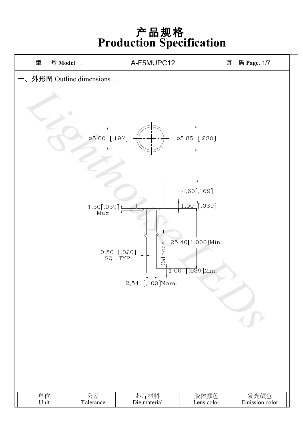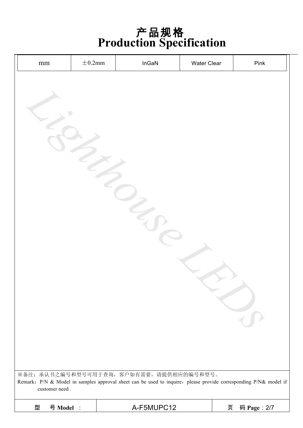| $\rm mm$       | $\pm$ 0.2mm | InGaN                                                                                                            | Water Clear | Pink        |
|----------------|-------------|------------------------------------------------------------------------------------------------------------------|-------------|-------------|
|                |             |                                                                                                                  |             |             |
|                |             |                                                                                                                  |             |             |
|                |             |                                                                                                                  |             |             |
|                |             |                                                                                                                  |             |             |
|                |             |                                                                                                                  |             |             |
|                |             |                                                                                                                  |             |             |
|                |             |                                                                                                                  |             |             |
|                |             |                                                                                                                  |             |             |
|                |             |                                                                                                                  |             |             |
|                |             |                                                                                                                  |             |             |
|                |             |                                                                                                                  |             |             |
|                |             |                                                                                                                  |             |             |
|                |             |                                                                                                                  |             |             |
|                |             |                                                                                                                  |             |             |
|                |             |                                                                                                                  |             |             |
|                |             |                                                                                                                  |             | $\bar{t}$   |
|                |             |                                                                                                                  |             |             |
|                |             |                                                                                                                  |             |             |
|                |             | ※备注: 承认书之编号和型号可用于查询, 客户如有需要, 请提供相应的编号和型号。                                                                        |             |             |
| customer need. |             | Remark: P/N & Model in samples approval sheet can be used to inquire, please provide corresponding P/N& model if |             |             |
| 型<br>号 Model : |             | A-F5MUPC12                                                                                                       | 页           | 码 Page: 2/7 |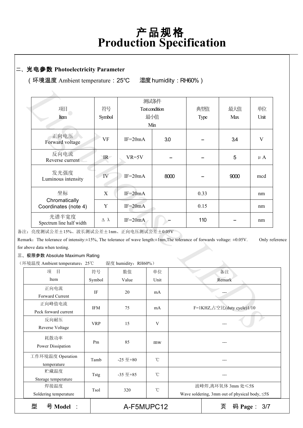#### 二、光电参数 **Photoelectricity Parameter**

(环境温度 Ambient temperature:25℃ 湿度humidity:RH60%)

| 项目                                                                                                                                        | 符号                      |                     | 测试条件<br>Test condition |      | 典型值  | 最大值                        | 单位        |
|-------------------------------------------------------------------------------------------------------------------------------------------|-------------------------|---------------------|------------------------|------|------|----------------------------|-----------|
|                                                                                                                                           |                         |                     | 最小值                    |      |      | Max                        | Unit      |
| Item                                                                                                                                      | Symbol                  |                     |                        |      | Type |                            |           |
|                                                                                                                                           |                         |                     | Min                    |      |      |                            |           |
| 正向电压<br>Forward voltage                                                                                                                   | <b>VF</b>               | $IF=20mA$           |                        | 3.0  |      | 3.4                        | V         |
| 反向电流<br>Reverse current                                                                                                                   | IR                      | $VR=5V$             |                        |      |      | 5                          | $\mu A$   |
| 发光强度<br>Luminous intensity                                                                                                                | IV                      | $IF=20mA$           |                        | 8000 |      | 9000                       | mcd       |
| 坐标                                                                                                                                        | X                       | $IF=20mA$           |                        |      | 0.33 |                            | nm        |
| Chromatically<br>Coordinates (note 4)                                                                                                     | Y                       | $IF = 20mA$         |                        |      | 0.15 |                            | nm        |
| 光谱半宽度<br>Spectrum line half width                                                                                                         | $\Delta$ $\lambda$      | $IF=20mA$           |                        |      | 110  |                            | nm        |
| :: 亮度测试公差±15%、波长测试公差±1nm、正向电压测试公差±0.05V                                                                                                   |                         |                     |                        |      |      |                            |           |
| aark. The tolerance of intensity: $\pm 15\%$ , The tolerance of wave length: $\pm 1$ nm, The tolerance of forwards voltage: $\pm 0.05$ V. |                         |                     |                        |      |      |                            | Only refe |
| above data when testing.                                                                                                                  |                         |                     |                        |      |      |                            |           |
| 极限参数 Absolute Maximum Rating                                                                                                              |                         |                     |                        |      |      |                            |           |
| 「境温度 Ambient temperature: 25℃                                                                                                             |                         | 湿度 humidity: RH60%) |                        |      |      |                            |           |
| 项<br>目                                                                                                                                    | 符号                      | 数值                  | 单位                     |      |      | 备注                         |           |
| Item                                                                                                                                      | Symbol<br>Value<br>Unit |                     | Remark                 |      |      |                            |           |
| 正向电流                                                                                                                                      |                         |                     |                        |      |      |                            |           |
| Forward Current                                                                                                                           | IF                      | 20                  | mA                     |      |      |                            |           |
| 正向峰值电流                                                                                                                                    |                         |                     |                        |      |      |                            |           |
| Peck forward current                                                                                                                      | <b>IFM</b>              | 75                  | mA                     |      |      | F=1KHZ,占空比(duty cycle)1/10 |           |
| 反向耐压                                                                                                                                      |                         |                     |                        |      |      |                            |           |
|                                                                                                                                           | <b>VRP</b>              | 15                  | V                      |      |      |                            |           |
| Reverse Voltage                                                                                                                           |                         |                     |                        |      |      |                            |           |

备注:亮度测试公差±15%、波长测试公差±1nm、正向电压测试公差±0.05V

Remark: The tolerance of intensity:±15%, The tolerance of wave length:±1nm,The tolerance of forwards voltage: ±0.05V. Only reference for above data when testing.

三、极限参数 Absolute Maximum Rating

(环境温度 Ambient temperature:25℃ 湿度 humidity:RH60%)

| 型<br>号 Model :<br>页<br>A-F5MUPC12 |             |                  | 码 Page:<br>3/7 |                                                                          |
|-----------------------------------|-------------|------------------|----------------|--------------------------------------------------------------------------|
| 焊接温度<br>Soldering temperature     | Tsol        | 320              | $^{\circ}$ C   | 波峰焊,离环氧体 3mm 处≤5S<br>Wave soldering, 3mm out of physical body, $\leq$ 5S |
| 贮藏温度<br>Storage temperature       | <b>Tstg</b> | $-35 \n  \pm 85$ | $^{\circ}$ C   |                                                                          |
| 工作环境温度 Operation<br>temperature   | Tamb        | $-25 \n  \pm 80$ | $^{\circ}$ C   |                                                                          |
| 耗散功率<br>Power Dissipation         | Pm          | 85               | mw             |                                                                          |
| 反向耐压<br>Reverse Voltage           | <b>VRP</b>  | 15               | V              |                                                                          |
| 正向峰值电流<br>Peck forward current    | <b>IFM</b>  | 75               | mA             | F=1KHZ,占空比(duty cycle)1/10                                               |
| 正向电流<br>Forward Current           | IF          | 20               | mA             |                                                                          |
| Item                              | Symbol      | Value            | Unit           | Remark                                                                   |
| 目<br>项                            | 符号          | 数值               | 单位             | 备注                                                                       |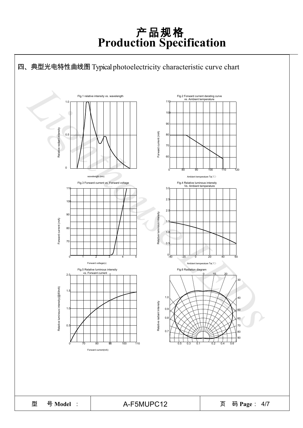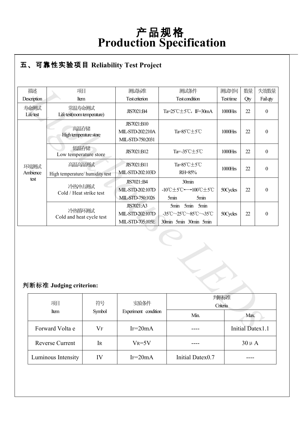#### ● **R** 五、可靠性实验项目 **Reliability Test Project**

| 描述                             | 项目                                        |                                        | 测试标准                                                      | 测试条件                                                                | 测试时间       | 数量                      | 失效数量             |
|--------------------------------|-------------------------------------------|----------------------------------------|-----------------------------------------------------------|---------------------------------------------------------------------|------------|-------------------------|------------------|
| Description                    | Item                                      |                                        | <b>Test criterion</b>                                     | <b>Test condition</b>                                               | Test time  | Qty                     | Fail qty         |
| 寿命测试<br>Lifetest               | 常温寿命测试<br>Life test(room temperature)     |                                        | JIS7021:B4                                                | Ta= $25^{\circ}$ C $\pm$ 5 $^{\circ}$ C, IF=30mA                    | $1000$ Hrs | 22                      | $\boldsymbol{0}$ |
| 高温存储<br>High temperature store |                                           |                                        | JIS7021:B10<br>MIL-STD-202:210A<br>MIL-STD-750:2031       | Ta=85°C±5°C                                                         | 1000Hrs    | 22                      | $\boldsymbol{0}$ |
|                                | 低温存储<br>Low temperature store             |                                        | JIS7021:B12                                               | Ta=-35℃±5℃                                                          | $1000$ Hrs | 22                      | $\boldsymbol{0}$ |
| 环境测试<br>Ambience               | 高温高湿测试<br>High temperature/ humidity test |                                        | JIS7021:B11<br>MIL-STD-202:103D                           | Ta=85°C±5°C<br>RH=85%                                               | 1000Hrs    | 22                      | $\boldsymbol{0}$ |
|                                | test<br>冷热冲击测试<br>Cold / Heat strike test |                                        | JIS7021::B4<br>MIL-STD-202:107D<br>MIL-STD-750:1026       | 30min<br>-10℃±5℃←→100℃±5℃<br>5min<br>5min                           | 50Cycles   | 22                      | $\mathbf{0}$     |
|                                | 冷热循环测试<br>Cold and heat cycle test        |                                        | <b>JIS7021:A3</b><br>MIL-STD-202:107D<br>MIL-STD-705:105E | 5min 5min<br>5min<br>-35°C~25°C~85°C~-35°C<br>30min 5min 30min 5min | 50Cycles   | 22                      | $\boldsymbol{0}$ |
|                                | 判断标准 Judging criterion:                   |                                        |                                                           |                                                                     |            |                         |                  |
|                                | 项目                                        | 符号                                     | 实验条件                                                      | 判断标准<br>Criteria                                                    |            |                         |                  |
|                                | Item                                      | Experiment condition<br>Symbol<br>Min. |                                                           |                                                                     |            | Max.                    |                  |
|                                | Forward Volta e                           | <b>VF</b>                              | $IF=20mA$                                                 |                                                                     |            | <b>Initial Datex1.1</b> |                  |

#### 判断标准 **Judging criterion:**

| 项目                     | 符号        | 实验条件                 | 判断标准<br>Criteria |                  |
|------------------------|-----------|----------------------|------------------|------------------|
| Item                   | Symbol    | Experiment condition | Min.             | Max.             |
| Forward Volta e        | $\rm V_F$ | $IF = 20mA$          |                  | Initial Datex1.1 |
| <b>Reverse Current</b> | Ir        | $V_R = 5V$           |                  | $30 \mu A$       |
| Luminous Intensity     | IV        | $IF=20mA$            | Initial Datex0.7 |                  |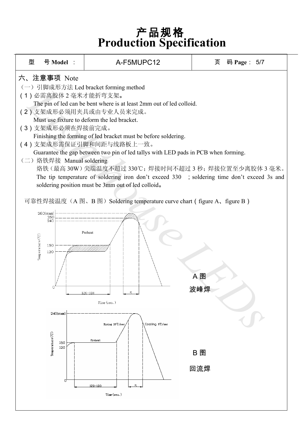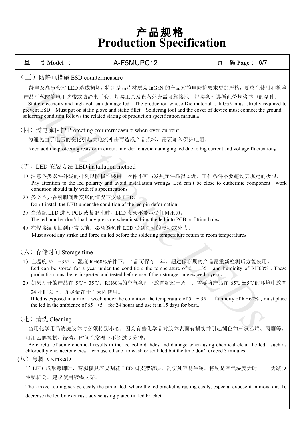| 型                            | 号 Model :                                                                                                                                                                                                                                                                                                                                                                                    | A-F5MUPC12                                                                                                                                                                                                                                                                | 页 | 码 Page: 6/7 |  |  |  |  |  |
|------------------------------|----------------------------------------------------------------------------------------------------------------------------------------------------------------------------------------------------------------------------------------------------------------------------------------------------------------------------------------------------------------------------------------------|---------------------------------------------------------------------------------------------------------------------------------------------------------------------------------------------------------------------------------------------------------------------------|---|-------------|--|--|--|--|--|
| (三) 防静电措施 ESD countermeasure |                                                                                                                                                                                                                                                                                                                                                                                              |                                                                                                                                                                                                                                                                           |   |             |  |  |  |  |  |
|                              |                                                                                                                                                                                                                                                                                                                                                                                              | 静电及高压会对 LED 造成损坏, 特别是晶片材质为 InGaN 的产品对静电防护要求更加严格, 要求在使用和检验                                                                                                                                                                                                                 |   |             |  |  |  |  |  |
|                              | 产品时戴防静电手腕带或防静电手套,焊接工具及设备外壳需可靠接地,焊接条件遵循此份规格书中的条件。<br>Static electricity and high volt can damage led, The production whose Die material is InGaN must strictly required to<br>prevent ESD, Must put on static glove and static fillet, Soldering tool and the cover of device must connect the ground,<br>soldering condition follows the related stating of production specification manual. |                                                                                                                                                                                                                                                                           |   |             |  |  |  |  |  |
|                              | (四) 过电流保护 Protecting countermeasure when over current                                                                                                                                                                                                                                                                                                                                        |                                                                                                                                                                                                                                                                           |   |             |  |  |  |  |  |
|                              |                                                                                                                                                                                                                                                                                                                                                                                              | 为避免由于电压的变化引起大电流冲击而造成产品损坏,需要加入保护电阻。                                                                                                                                                                                                                                        |   |             |  |  |  |  |  |
|                              |                                                                                                                                                                                                                                                                                                                                                                                              | Need add the protecting resistor in circuit in order to avoid damaging led due to big current and voltage fluctuation.                                                                                                                                                    |   |             |  |  |  |  |  |
|                              |                                                                                                                                                                                                                                                                                                                                                                                              |                                                                                                                                                                                                                                                                           |   |             |  |  |  |  |  |
|                              |                                                                                                                                                                                                                                                                                                                                                                                              | (五) LED 安装方法 LED installation method                                                                                                                                                                                                                                      |   |             |  |  |  |  |  |
|                              | 1) 注意各类器件外线的排列以防极性装错, 器件不可与发热元件靠得太近, 工作条件不要超过其规定的极限。<br>Pay attention to the led polarity and avoid installation wrong. Led can't be close to euthermic component, work<br>condition should tally with it's specification.                                                                                                                                                                   |                                                                                                                                                                                                                                                                           |   |             |  |  |  |  |  |
|                              |                                                                                                                                                                                                                                                                                                                                                                                              | 2) 务必不要在引脚间距变形的情况下安装 LED。                                                                                                                                                                                                                                                 |   |             |  |  |  |  |  |
|                              |                                                                                                                                                                                                                                                                                                                                                                                              | Don't install the LED under the condition of the led pin deformation.                                                                                                                                                                                                     |   |             |  |  |  |  |  |
|                              |                                                                                                                                                                                                                                                                                                                                                                                              | 3) 当装配 LED 进入 PCB 或装配孔时, LED 支架不能承受任何压力。<br>The led bracket don't load any pressure when installing the led into PCB or fitting hole.                                                                                                                                     |   |             |  |  |  |  |  |
|                              |                                                                                                                                                                                                                                                                                                                                                                                              | 4) 在焊接温度回到正常以前, 必须避免使 LED 受到任何的震动或外力。                                                                                                                                                                                                                                     |   |             |  |  |  |  |  |
|                              |                                                                                                                                                                                                                                                                                                                                                                                              | Must avoid any strike and force on led before the soldering temperature return to room temperature.                                                                                                                                                                       |   |             |  |  |  |  |  |
|                              |                                                                                                                                                                                                                                                                                                                                                                                              |                                                                                                                                                                                                                                                                           |   |             |  |  |  |  |  |
|                              | (六) 存储时间 Storage time                                                                                                                                                                                                                                                                                                                                                                        |                                                                                                                                                                                                                                                                           |   |             |  |  |  |  |  |
|                              |                                                                                                                                                                                                                                                                                                                                                                                              | 1) 在温度 5℃~35℃, 湿度 RH60%条件下, 产品可保存一年。超过保存期的产品需重新检测后方能使用。<br>Led can be stored for a year under the condition: the temperature of $5 \approx 35$ and humidity of RH60%, These<br>production must be re-inspected and tested before use if their storage time exceed a year. |   |             |  |  |  |  |  |
|                              |                                                                                                                                                                                                                                                                                                                                                                                              | 2) 如果打开的产品在 5℃~35℃, RH60%的空气条件下放置超过一周, 则需要将产品在 65℃±5℃的环境中放置                                                                                                                                                                                                               |   |             |  |  |  |  |  |
|                              |                                                                                                                                                                                                                                                                                                                                                                                              | 24 小时以上,并尽量在十五天内使用。                                                                                                                                                                                                                                                       |   |             |  |  |  |  |  |
|                              | If led is exposed in air for a week under the condition: the temperature of $5 \sim 35$ , humidity of RH60%, must place<br>the led in the ambience of 65 $\pm$ 5 for 24 hours and use it in 15 days for best.                                                                                                                                                                                |                                                                                                                                                                                                                                                                           |   |             |  |  |  |  |  |
|                              | (七) 清洗 Cleaning                                                                                                                                                                                                                                                                                                                                                                              |                                                                                                                                                                                                                                                                           |   |             |  |  |  |  |  |
|                              | 当用化学用品清洗胶体时必须特别小心, 因为有些化学品对胶体表面有损伤并引起褪色如三氯乙烯、丙酮等。                                                                                                                                                                                                                                                                                                                                            |                                                                                                                                                                                                                                                                           |   |             |  |  |  |  |  |
|                              | 可用乙醇擦拭、浸渍, 时间在常温下不超过 3 分钟。<br>Be careful of some chemical results in the led colloid fades and damage when using chemical clean the led, such as<br>chloroethylene, acetone etc. can use ethanol to wash or soak led but the time don't exceed 3 minutes.                                                                                                                                    |                                                                                                                                                                                                                                                                           |   |             |  |  |  |  |  |
|                              | (八) 弯脚 (Kinked)                                                                                                                                                                                                                                                                                                                                                                              |                                                                                                                                                                                                                                                                           |   |             |  |  |  |  |  |
|                              |                                                                                                                                                                                                                                                                                                                                                                                              | 当 LED 成形弯脚时,弯脚模具容易刮花 LED 脚支架镀层,刮伤处容易生锈,特别是空气湿度大时。                                                                                                                                                                                                                         |   | 为减少         |  |  |  |  |  |
|                              | 生锈机会, 建议使用镀锡支架。                                                                                                                                                                                                                                                                                                                                                                              |                                                                                                                                                                                                                                                                           |   |             |  |  |  |  |  |
|                              | The kinked tooling scrape easily the pin of led, where the led bracket is rusting easily, especial expose it in moist air. To                                                                                                                                                                                                                                                                |                                                                                                                                                                                                                                                                           |   |             |  |  |  |  |  |

decrease the led bracket rust, advise using plated tin led bracket.